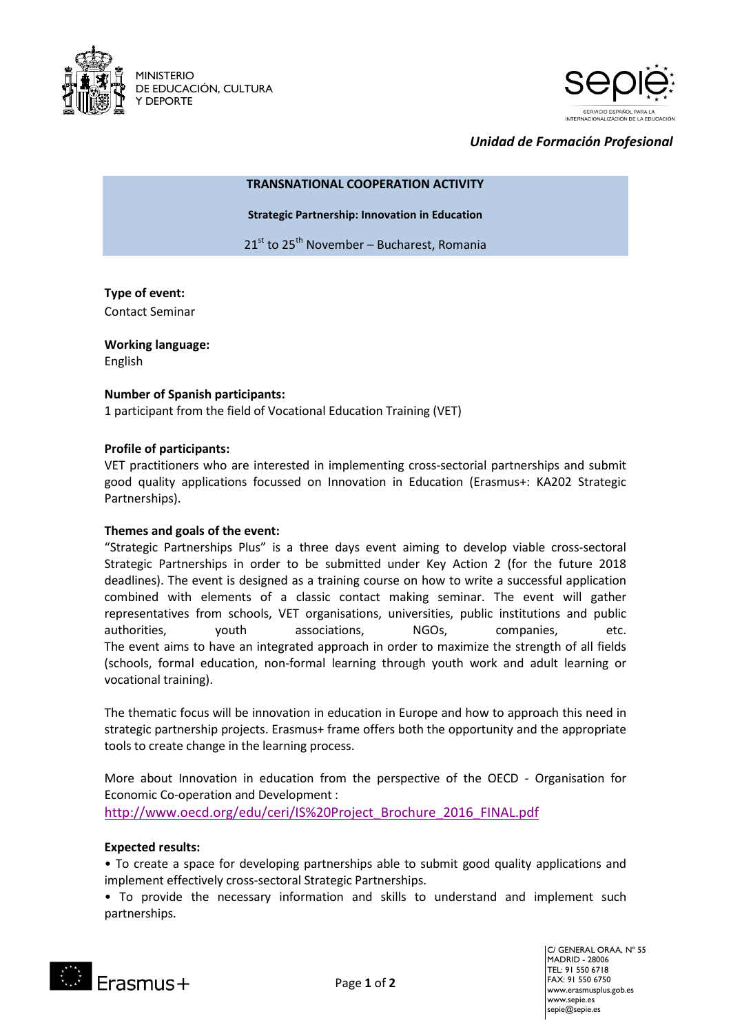



# *Unidad de Formación Profesional*

#### **TRANSNATIONAL COOPERATION ACTIVITY**

**Strategic Partnership: Innovation in Education**

21<sup>st</sup> to 25<sup>th</sup> November – Bucharest, Romania

## **Type of event:** Contact Seminar

**Working language:**  English

## **Number of Spanish participants:**

1 participant from the field of Vocational Education Training (VET)

### **Profile of participants:**

VET practitioners who are interested in implementing cross-sectorial partnerships and submit good quality applications focussed on Innovation in Education (Erasmus+: KA202 Strategic Partnerships).

#### **Themes and goals of the event:**

"Strategic Partnerships Plus" is a three days event aiming to develop viable cross-sectoral Strategic Partnerships in order to be submitted under Key Action 2 (for the future 2018 deadlines). The event is designed as a training course on how to write a successful application combined with elements of a classic contact making seminar. The event will gather representatives from schools, VET organisations, universities, public institutions and public authorities, youth associations, NGOs, companies, etc. The event aims to have an integrated approach in order to maximize the strength of all fields (schools, formal education, non-formal learning through youth work and adult learning or vocational training).

The thematic focus will be innovation in education in Europe and how to approach this need in strategic partnership projects. Erasmus+ frame offers both the opportunity and the appropriate tools to create change in the learning process.

More about Innovation in education from the perspective of the OECD - Organisation for Economic Co-operation and Development :

[http://www.oecd.org/edu/ceri/IS%20Project\\_Brochure\\_2016\\_FINAL.pdf](http://www.oecd.org/edu/ceri/IS%20Project_Brochure_2016_FINAL.pdf)

## **Expected results:**

• To create a space for developing partnerships able to submit good quality applications and implement effectively cross-sectoral Strategic Partnerships.

• To provide the necessary information and skills to understand and implement such partnerships.